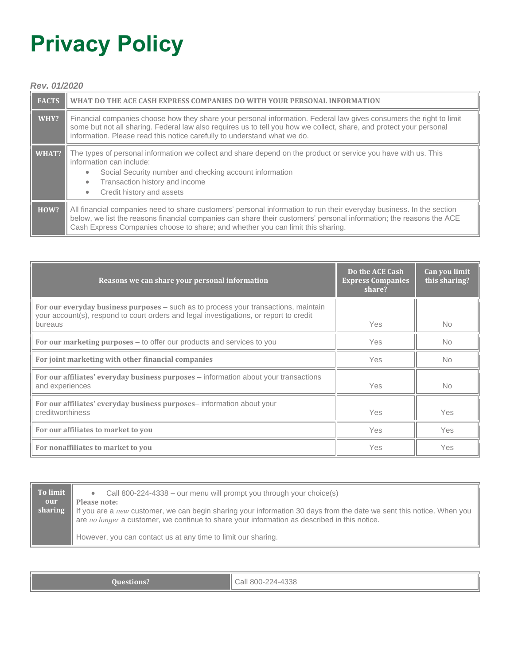# **Privacy Policy**

## *Rev. 01/2020*

| <b>FACTS</b> | WHAT DO THE ACE CASH EXPRESS COMPANIES DO WITH YOUR PERSONAL INFORMATION                                                                                                                                                                                                                                                       |  |
|--------------|--------------------------------------------------------------------------------------------------------------------------------------------------------------------------------------------------------------------------------------------------------------------------------------------------------------------------------|--|
| WHY?         | Financial companies choose how they share your personal information. Federal law gives consumers the right to limit<br>some but not all sharing. Federal law also requires us to tell you how we collect, share, and protect your personal<br>information. Please read this notice carefully to understand what we do.         |  |
| WHAT?        | The types of personal information we collect and share depend on the product or service you have with us. This<br>information can include:<br>Social Security number and checking account information<br>$\bullet$<br>Transaction history and income<br>$\bullet$<br>Credit history and assets<br>$\bullet$                    |  |
| HOW?         | All financial companies need to share customers' personal information to run their everyday business. In the section<br>below, we list the reasons financial companies can share their customers' personal information; the reasons the ACE<br>Cash Express Companies choose to share; and whether you can limit this sharing. |  |

| Reasons we can share your personal information                                                                                                                                           | Do the ACE Cash<br><b>Express Companies</b><br>share? | Can you limit<br>this sharing? |
|------------------------------------------------------------------------------------------------------------------------------------------------------------------------------------------|-------------------------------------------------------|--------------------------------|
| For our everyday business purposes – such as to process your transactions, maintain<br>your account(s), respond to court orders and legal investigations, or report to credit<br>bureaus | <b>Yes</b>                                            | <b>No</b>                      |
| For our marketing purposes – to offer our products and services to you                                                                                                                   | <b>Yes</b>                                            | <b>No</b>                      |
| For joint marketing with other financial companies                                                                                                                                       | <b>Yes</b>                                            | <b>No</b>                      |
| For our affiliates' everyday business purposes - information about your transactions<br>and experiences                                                                                  | <b>Yes</b>                                            | <b>No</b>                      |
| For our affiliates' everyday business purposes-information about your<br>creditworthiness                                                                                                | <b>Yes</b>                                            | Yes                            |
| For our affiliates to market to you                                                                                                                                                      | Yes                                                   | Yes                            |
| For nonaffiliates to market to you                                                                                                                                                       | <b>Yes</b>                                            | <b>Yes</b>                     |

| To limit<br>our<br>sharing | Call 800-224-4338 – our menu will prompt you through your choice(s)<br>$\bullet$<br>Please note:<br>If you are a new customer, we can begin sharing your information 30 days from the date we sent this notice. When you<br>are no longer a customer, we continue to share your information as described in this notice. |
|----------------------------|--------------------------------------------------------------------------------------------------------------------------------------------------------------------------------------------------------------------------------------------------------------------------------------------------------------------------|
|                            | However, you can contact us at any time to limit our sharing.                                                                                                                                                                                                                                                            |